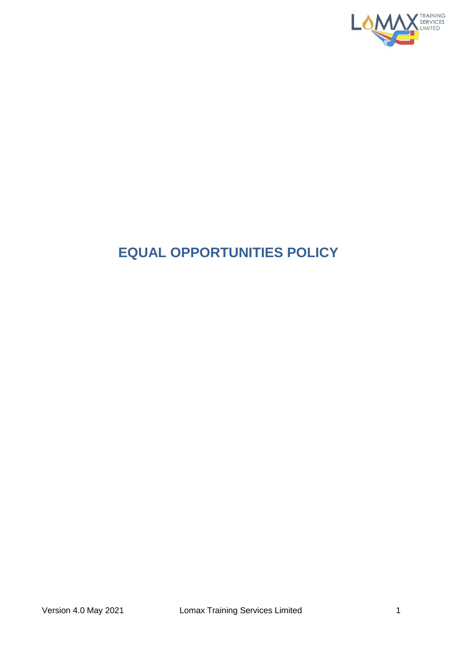

## **EQUAL OPPORTUNITIES POLICY**